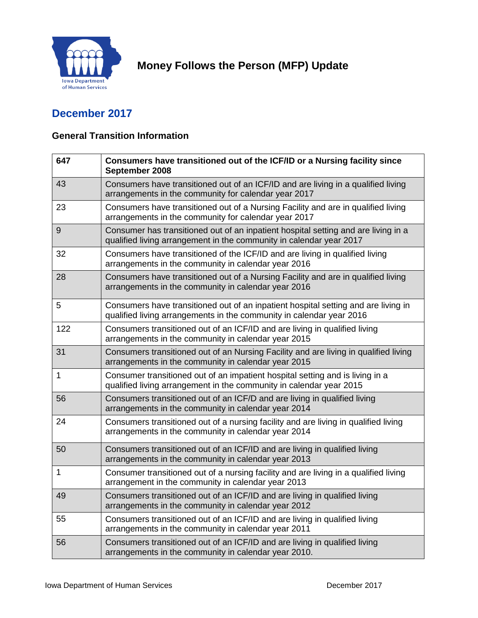

# **Money Follows the Person (MFP) Update**

## **December 2017**

#### **General Transition Information**

| 647 | Consumers have transitioned out of the ICF/ID or a Nursing facility since<br>September 2008                                                                |  |
|-----|------------------------------------------------------------------------------------------------------------------------------------------------------------|--|
| 43  | Consumers have transitioned out of an ICF/ID and are living in a qualified living<br>arrangements in the community for calendar year 2017                  |  |
| 23  | Consumers have transitioned out of a Nursing Facility and are in qualified living<br>arrangements in the community for calendar year 2017                  |  |
| 9   | Consumer has transitioned out of an inpatient hospital setting and are living in a<br>qualified living arrangement in the community in calendar year 2017  |  |
| 32  | Consumers have transitioned of the ICF/ID and are living in qualified living<br>arrangements in the community in calendar year 2016                        |  |
| 28  | Consumers have transitioned out of a Nursing Facility and are in qualified living<br>arrangements in the community in calendar year 2016                   |  |
| 5   | Consumers have transitioned out of an inpatient hospital setting and are living in<br>qualified living arrangements in the community in calendar year 2016 |  |
| 122 | Consumers transitioned out of an ICF/ID and are living in qualified living<br>arrangements in the community in calendar year 2015                          |  |
| 31  | Consumers transitioned out of an Nursing Facility and are living in qualified living<br>arrangements in the community in calendar year 2015                |  |
| 1   | Consumer transitioned out of an impatient hospital setting and is living in a<br>qualified living arrangement in the community in calendar year 2015       |  |
| 56  | Consumers transitioned out of an ICF/D and are living in qualified living<br>arrangements in the community in calendar year 2014                           |  |
| 24  | Consumers transitioned out of a nursing facility and are living in qualified living<br>arrangements in the community in calendar year 2014                 |  |
| 50  | Consumers transitioned out of an ICF/ID and are living in qualified living<br>arrangements in the community in calendar year 2013                          |  |
| 1   | Consumer transitioned out of a nursing facility and are living in a qualified living<br>arrangement in the community in calendar year 2013                 |  |
| 49  | Consumers transitioned out of an ICF/ID and are living in qualified living<br>arrangements in the community in calendar year 2012                          |  |
| 55  | Consumers transitioned out of an ICF/ID and are living in qualified living<br>arrangements in the community in calendar year 2011                          |  |
| 56  | Consumers transitioned out of an ICF/ID and are living in qualified living<br>arrangements in the community in calendar year 2010.                         |  |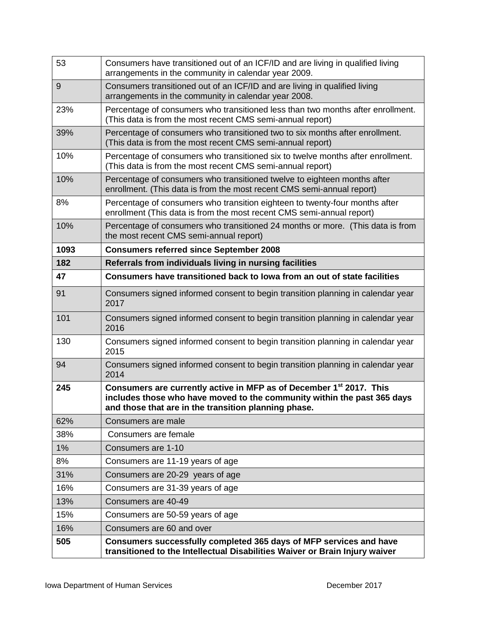| 53    | Consumers have transitioned out of an ICF/ID and are living in qualified living<br>arrangements in the community in calendar year 2009.                                                                            |  |
|-------|--------------------------------------------------------------------------------------------------------------------------------------------------------------------------------------------------------------------|--|
| 9     | Consumers transitioned out of an ICF/ID and are living in qualified living<br>arrangements in the community in calendar year 2008.                                                                                 |  |
| 23%   | Percentage of consumers who transitioned less than two months after enrollment.<br>(This data is from the most recent CMS semi-annual report)                                                                      |  |
| 39%   | Percentage of consumers who transitioned two to six months after enrollment.<br>(This data is from the most recent CMS semi-annual report)                                                                         |  |
| 10%   | Percentage of consumers who transitioned six to twelve months after enrollment.<br>(This data is from the most recent CMS semi-annual report)                                                                      |  |
| 10%   | Percentage of consumers who transitioned twelve to eighteen months after<br>enrollment. (This data is from the most recent CMS semi-annual report)                                                                 |  |
| 8%    | Percentage of consumers who transition eighteen to twenty-four months after<br>enrollment (This data is from the most recent CMS semi-annual report)                                                               |  |
| 10%   | Percentage of consumers who transitioned 24 months or more. (This data is from<br>the most recent CMS semi-annual report)                                                                                          |  |
| 1093  | <b>Consumers referred since September 2008</b>                                                                                                                                                                     |  |
| 182   | Referrals from individuals living in nursing facilities                                                                                                                                                            |  |
| 47    | Consumers have transitioned back to lowa from an out of state facilities                                                                                                                                           |  |
| 91    | Consumers signed informed consent to begin transition planning in calendar year<br>2017                                                                                                                            |  |
| 101   | Consumers signed informed consent to begin transition planning in calendar year<br>2016                                                                                                                            |  |
| 130   | Consumers signed informed consent to begin transition planning in calendar year<br>2015                                                                                                                            |  |
| 94    | Consumers signed informed consent to begin transition planning in calendar year<br>2014                                                                                                                            |  |
| 245   | Consumers are currently active in MFP as of December 1 <sup>st</sup> 2017. This<br>includes those who have moved to the community within the past 365 days<br>and those that are in the transition planning phase. |  |
| 62%   | Consumers are male                                                                                                                                                                                                 |  |
| 38%   | Consumers are female                                                                                                                                                                                               |  |
| $1\%$ | Consumers are 1-10                                                                                                                                                                                                 |  |
| 8%    | Consumers are 11-19 years of age                                                                                                                                                                                   |  |
| 31%   | Consumers are 20-29 years of age                                                                                                                                                                                   |  |
| 16%   | Consumers are 31-39 years of age                                                                                                                                                                                   |  |
| 13%   | Consumers are 40-49                                                                                                                                                                                                |  |
| 15%   | Consumers are 50-59 years of age                                                                                                                                                                                   |  |
| 16%   | Consumers are 60 and over                                                                                                                                                                                          |  |
| 505   | Consumers successfully completed 365 days of MFP services and have<br>transitioned to the Intellectual Disabilities Waiver or Brain Injury waiver                                                                  |  |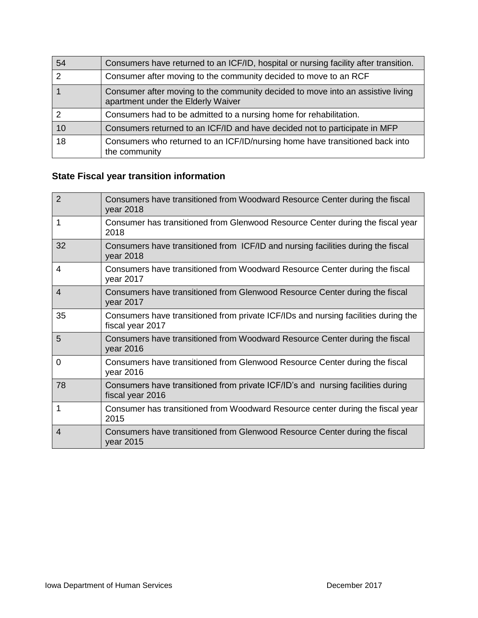| 54 | Consumers have returned to an ICF/ID, hospital or nursing facility after transition.                                  |  |  |
|----|-----------------------------------------------------------------------------------------------------------------------|--|--|
|    | Consumer after moving to the community decided to move to an RCF                                                      |  |  |
|    | Consumer after moving to the community decided to move into an assistive living<br>apartment under the Elderly Waiver |  |  |
|    | Consumers had to be admitted to a nursing home for rehabilitation.                                                    |  |  |
| 10 | Consumers returned to an ICF/ID and have decided not to participate in MFP                                            |  |  |
| 18 | Consumers who returned to an ICF/ID/nursing home have transitioned back into<br>the community                         |  |  |

## **State Fiscal year transition information**

| $\overline{2}$ | Consumers have transitioned from Woodward Resource Center during the fiscal<br>year 2018               |
|----------------|--------------------------------------------------------------------------------------------------------|
| 1              | Consumer has transitioned from Glenwood Resource Center during the fiscal year<br>2018                 |
| 32             | Consumers have transitioned from ICF/ID and nursing facilities during the fiscal<br>year 2018          |
| 4              | Consumers have transitioned from Woodward Resource Center during the fiscal<br>year 2017               |
| 4              | Consumers have transitioned from Glenwood Resource Center during the fiscal<br>year 2017               |
| 35             | Consumers have transitioned from private ICF/IDs and nursing facilities during the<br>fiscal year 2017 |
| 5              | Consumers have transitioned from Woodward Resource Center during the fiscal<br>year 2016               |
| 0              | Consumers have transitioned from Glenwood Resource Center during the fiscal<br>year 2016               |
| 78             | Consumers have transitioned from private ICF/ID's and nursing facilities during<br>fiscal year 2016    |
| 1              | Consumer has transitioned from Woodward Resource center during the fiscal year<br>2015                 |
| $\overline{4}$ | Consumers have transitioned from Glenwood Resource Center during the fiscal<br>year 2015               |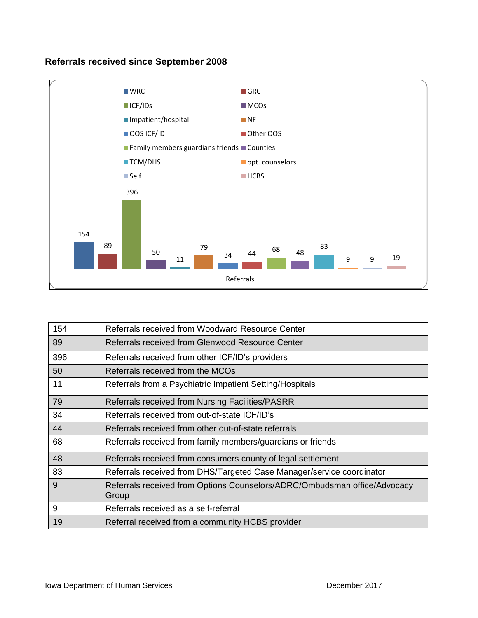#### **Referrals received since September 2008**



| 154 | Referrals received from Woodward Resource Center                                   |  |  |  |
|-----|------------------------------------------------------------------------------------|--|--|--|
| 89  | Referrals received from Glenwood Resource Center                                   |  |  |  |
| 396 | Referrals received from other ICF/ID's providers                                   |  |  |  |
| 50  | Referrals received from the MCOs                                                   |  |  |  |
| 11  | Referrals from a Psychiatric Impatient Setting/Hospitals                           |  |  |  |
| 79  | Referrals received from Nursing Facilities/PASRR                                   |  |  |  |
| 34  | Referrals received from out-of-state ICF/ID's                                      |  |  |  |
| 44  | Referrals received from other out-of-state referrals                               |  |  |  |
| 68  | Referrals received from family members/guardians or friends                        |  |  |  |
| 48  | Referrals received from consumers county of legal settlement                       |  |  |  |
| 83  | Referrals received from DHS/Targeted Case Manager/service coordinator              |  |  |  |
| 9   | Referrals received from Options Counselors/ADRC/Ombudsman office/Advocacy<br>Group |  |  |  |
| 9   | Referrals received as a self-referral                                              |  |  |  |
| 19  | Referral received from a community HCBS provider                                   |  |  |  |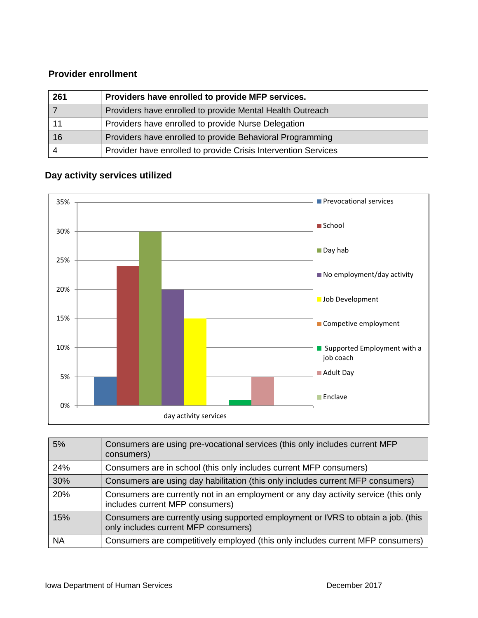#### **Provider enrollment**

| 261 | Providers have enrolled to provide MFP services.               |  |
|-----|----------------------------------------------------------------|--|
|     | Providers have enrolled to provide Mental Health Outreach      |  |
|     | Providers have enrolled to provide Nurse Delegation            |  |
| 16  | Providers have enrolled to provide Behavioral Programming      |  |
|     | Provider have enrolled to provide Crisis Intervention Services |  |

#### **Day activity services utilized**



| 5%        | Consumers are using pre-vocational services (this only includes current MFP<br>consumers)                                 |
|-----------|---------------------------------------------------------------------------------------------------------------------------|
| 24%       | Consumers are in school (this only includes current MFP consumers)                                                        |
| 30%       | Consumers are using day habilitation (this only includes current MFP consumers)                                           |
| 20%       | Consumers are currently not in an employment or any day activity service (this only<br>includes current MFP consumers)    |
| 15%       | Consumers are currently using supported employment or IVRS to obtain a job. (this<br>only includes current MFP consumers) |
| <b>NA</b> | Consumers are competitively employed (this only includes current MFP consumers)                                           |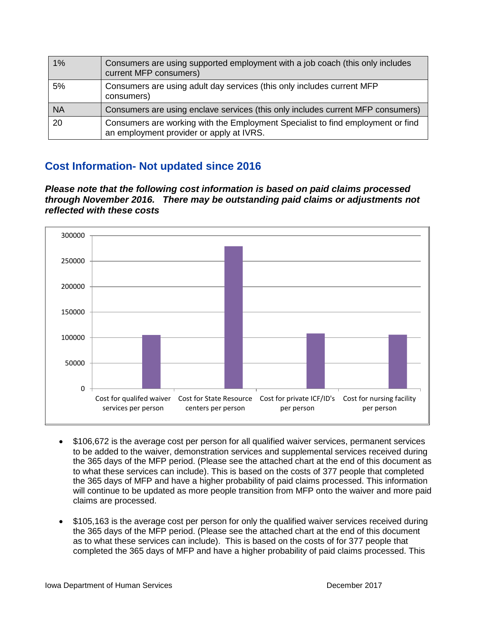| 1%        | Consumers are using supported employment with a job coach (this only includes<br>current MFP consumers)                     |
|-----------|-----------------------------------------------------------------------------------------------------------------------------|
| 5%        | Consumers are using adult day services (this only includes current MFP<br>consumers)                                        |
| <b>NA</b> | Consumers are using enclave services (this only includes current MFP consumers)                                             |
| 20        | Consumers are working with the Employment Specialist to find employment or find<br>an employment provider or apply at IVRS. |

## **Cost Information- Not updated since 2016**

*Please note that the following cost information is based on paid claims processed through November 2016. There may be outstanding paid claims or adjustments not reflected with these costs*



- \$106,672 is the average cost per person for all qualified waiver services, permanent services to be added to the waiver, demonstration services and supplemental services received during the 365 days of the MFP period. (Please see the attached chart at the end of this document as to what these services can include). This is based on the costs of 377 people that completed the 365 days of MFP and have a higher probability of paid claims processed. This information will continue to be updated as more people transition from MFP onto the waiver and more paid claims are processed.
- \$105,163 is the average cost per person for only the qualified waiver services received during the 365 days of the MFP period. (Please see the attached chart at the end of this document as to what these services can include). This is based on the costs of for 377 people that completed the 365 days of MFP and have a higher probability of paid claims processed. This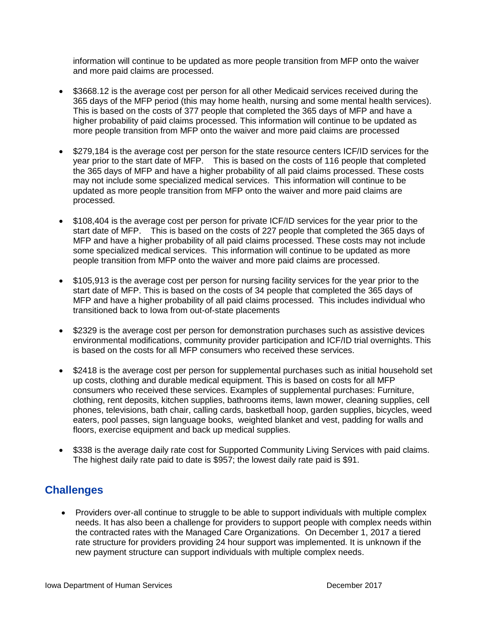information will continue to be updated as more people transition from MFP onto the waiver and more paid claims are processed.

- \$3668.12 is the average cost per person for all other Medicaid services received during the 365 days of the MFP period (this may home health, nursing and some mental health services). This is based on the costs of 377 people that completed the 365 days of MFP and have a higher probability of paid claims processed. This information will continue to be updated as more people transition from MFP onto the waiver and more paid claims are processed
- \$279,184 is the average cost per person for the state resource centers ICF/ID services for the year prior to the start date of MFP. This is based on the costs of 116 people that completed the 365 days of MFP and have a higher probability of all paid claims processed. These costs may not include some specialized medical services. This information will continue to be updated as more people transition from MFP onto the waiver and more paid claims are processed.
- \$108,404 is the average cost per person for private ICF/ID services for the year prior to the start date of MFP. This is based on the costs of 227 people that completed the 365 days of MFP and have a higher probability of all paid claims processed. These costs may not include some specialized medical services. This information will continue to be updated as more people transition from MFP onto the waiver and more paid claims are processed.
- \$105,913 is the average cost per person for nursing facility services for the year prior to the start date of MFP. This is based on the costs of 34 people that completed the 365 days of MFP and have a higher probability of all paid claims processed. This includes individual who transitioned back to Iowa from out-of-state placements
- \$2329 is the average cost per person for demonstration purchases such as assistive devices environmental modifications, community provider participation and ICF/ID trial overnights. This is based on the costs for all MFP consumers who received these services.
- \$2418 is the average cost per person for supplemental purchases such as initial household set up costs, clothing and durable medical equipment. This is based on costs for all MFP consumers who received these services. Examples of supplemental purchases: Furniture, clothing, rent deposits, kitchen supplies, bathrooms items, lawn mower, cleaning supplies, cell phones, televisions, bath chair, calling cards, basketball hoop, garden supplies, bicycles, weed eaters, pool passes, sign language books, weighted blanket and vest, padding for walls and floors, exercise equipment and back up medical supplies.
- \$338 is the average daily rate cost for Supported Community Living Services with paid claims. The highest daily rate paid to date is \$957; the lowest daily rate paid is \$91.

### **Challenges**

• Providers over-all continue to struggle to be able to support individuals with multiple complex needs. It has also been a challenge for providers to support people with complex needs within the contracted rates with the Managed Care Organizations. On December 1, 2017 a tiered rate structure for providers providing 24 hour support was implemented. It is unknown if the new payment structure can support individuals with multiple complex needs.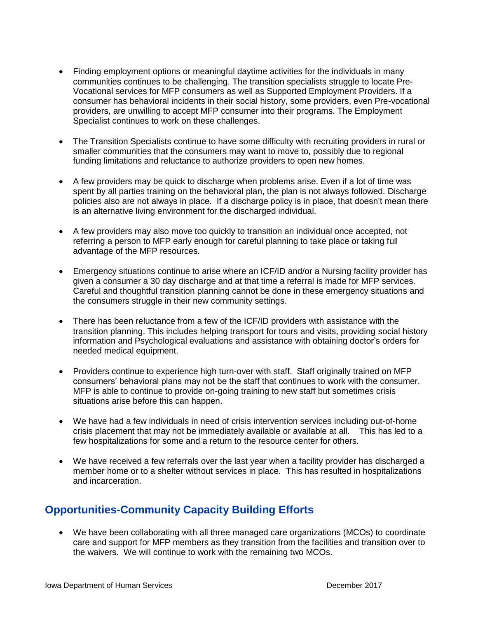- Finding employment options or meaningful daytime activities for the individuals in many communities continues to be challenging. The transition specialists struggle to locate Pre-Vocational services for MFP consumers as well as Supported Employment Providers. If a consumer has behavioral incidents in their social history, some providers, even Pre-vocational providers, are unwilling to accept MFP consumer into their programs. The Employment Specialist continues to work on these challenges.
- The Transition Specialists continue to have some difficulty with recruiting providers in rural or smaller communities that the consumers may want to move to, possibly due to regional funding limitations and reluctance to authorize providers to open new homes.
- A few providers may be quick to discharge when problems arise. Even if a lot of time was spent by all parties training on the behavioral plan, the plan is not always followed. Discharge policies also are not always in place. If a discharge policy is in place, that doesn't mean there is an alternative living environment for the discharged individual.
- A few providers may also move too quickly to transition an individual once accepted, not referring a person to MFP early enough for careful planning to take place or taking full advantage of the MFP resources.
- Emergency situations continue to arise where an ICF/ID and/or a Nursing facility provider has given a consumer a 30 day discharge and at that time a referral is made for MFP services. Careful and thoughtful transition planning cannot be done in these emergency situations and the consumers struggle in their new community settings.
- There has been reluctance from a few of the ICF/ID providers with assistance with the transition planning. This includes helping transport for tours and visits, providing social history information and Psychological evaluations and assistance with obtaining doctor's orders for needed medical equipment.
- Providers continue to experience high turn-over with staff. Staff originally trained on MFP consumers' behavioral plans may not be the staff that continues to work with the consumer. MFP is able to continue to provide on-going training to new staff but sometimes crisis situations arise before this can happen.
- We have had a few individuals in need of crisis intervention services including out-of-home crisis placement that may not be immediately available or available at all. This has led to a few hospitalizations for some and a return to the resource center for others.
- We have received a few referrals over the last year when a facility provider has discharged a member home or to a shelter without services in place. This has resulted in hospitalizations and incarceration.

## **Opportunities-Community Capacity Building Efforts**

 We have been collaborating with all three managed care organizations (MCOs) to coordinate care and support for MFP members as they transition from the facilities and transition over to the waivers. We will continue to work with the remaining two MCOs.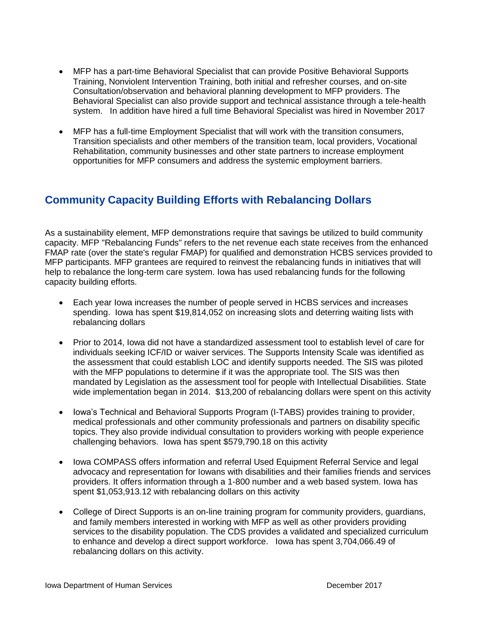- MFP has a part-time Behavioral Specialist that can provide Positive Behavioral Supports Training, Nonviolent Intervention Training, both initial and refresher courses, and on-site Consultation/observation and behavioral planning development to MFP providers. The Behavioral Specialist can also provide support and technical assistance through a tele-health system. In addition have hired a full time Behavioral Specialist was hired in November 2017
- MFP has a full-time Employment Specialist that will work with the transition consumers, Transition specialists and other members of the transition team, local providers, Vocational Rehabilitation, community businesses and other state partners to increase employment opportunities for MFP consumers and address the systemic employment barriers.

## **Community Capacity Building Efforts with Rebalancing Dollars**

As a sustainability element, MFP demonstrations require that savings be utilized to build community capacity. MFP "Rebalancing Funds" refers to the net revenue each state receives from the enhanced FMAP rate (over the state's regular FMAP) for qualified and demonstration HCBS services provided to MFP participants. MFP grantees are required to reinvest the rebalancing funds in initiatives that will help to rebalance the long-term care system. Iowa has used rebalancing funds for the following capacity building efforts.

- Each year Iowa increases the number of people served in HCBS services and increases spending. Iowa has spent \$19,814,052 on increasing slots and deterring waiting lists with rebalancing dollars
- Prior to 2014, Iowa did not have a standardized assessment tool to establish level of care for individuals seeking ICF/ID or waiver services. The Supports Intensity Scale was identified as the assessment that could establish LOC and identify supports needed. The SIS was piloted with the MFP populations to determine if it was the appropriate tool. The SIS was then mandated by Legislation as the assessment tool for people with Intellectual Disabilities. State wide implementation began in 2014. \$13,200 of rebalancing dollars were spent on this activity
- Iowa's Technical and Behavioral Supports Program (I-TABS) provides training to provider, medical professionals and other community professionals and partners on disability specific topics. They also provide individual consultation to providers working with people experience challenging behaviors. Iowa has spent \$579,790.18 on this activity
- Iowa COMPASS offers information and referral Used Equipment Referral Service and legal advocacy and representation for Iowans with disabilities and their families friends and services providers. It offers information through a 1-800 number and a web based system. Iowa has spent \$1,053,913.12 with rebalancing dollars on this activity
- College of Direct Supports is an on-line training program for community providers, guardians, and family members interested in working with MFP as well as other providers providing services to the disability population. The CDS provides a validated and specialized curriculum to enhance and develop a direct support workforce. Iowa has spent 3,704,066.49 of rebalancing dollars on this activity.